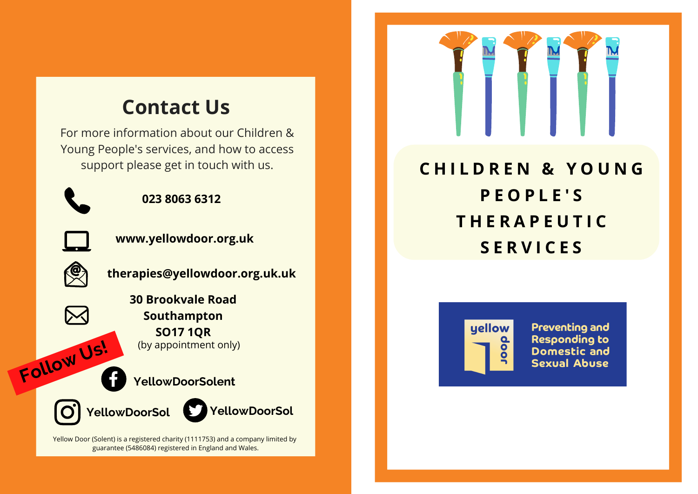# **Contact Us**

For more information about our Children & Young People's services, and how to access



#### **023 8063 6312**



**www.yellowdoor.org.uk**



**Follow Us!**

**therapies@yellowdoor.org.uk.uk**

**30 Brookvale Road Southampton SO17 1QR** (by appointment only)

### **YellowDoorSolent**





Yellow Door (Solent) is a registered charity (1111753) and a company limited by guarantee (5486084) registered in England and Wales.



# support please get in touch with us. **C H I L D R E N & Y O U N G P E O P L E ' S T H E R A P E U T I C S E R V I C E S**



**Preventing and Responding to Domestic and Sexual Abuse**